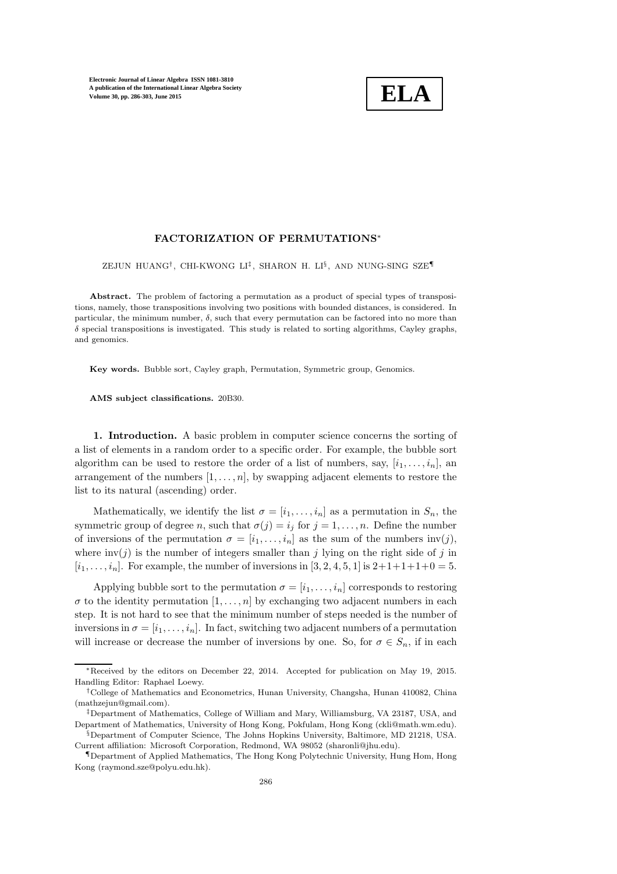

### FACTORIZATION OF PERMUTATIONS<sup>∗</sup>

ZEJUN HUANG† , CHI-KWONG LI‡ , SHARON H. LI§ , AND NUNG-SING SZE¶

Abstract. The problem of factoring a permutation as a product of special types of transpositions, namely, those transpositions involving two positions with bounded distances, is considered. In particular, the minimum number,  $\delta$ , such that every permutation can be factored into no more than  $\delta$  special transpositions is investigated. This study is related to sorting algorithms, Cayley graphs, and genomics.

Key words. Bubble sort, Cayley graph, Permutation, Symmetric group, Genomics.

AMS subject classifications. 20B30.

1. Introduction. A basic problem in computer science concerns the sorting of a list of elements in a random order to a specific order. For example, the bubble sort algorithm can be used to restore the order of a list of numbers, say,  $[i_1, \ldots, i_n]$ , and arrangement of the numbers  $[1, \ldots, n]$ , by swapping adjacent elements to restore the list to its natural (ascending) order.

Mathematically, we identify the list  $\sigma = [i_1, \ldots, i_n]$  as a permutation in  $S_n$ , the symmetric group of degree n, such that  $\sigma(j) = i_j$  for  $j = 1, \ldots, n$ . Define the number of inversions of the permutation  $\sigma = [i_1, \ldots, i_n]$  as the sum of the numbers inv(j), where  $inv(j)$  is the number of integers smaller than j lying on the right side of j in  $[i_1, \ldots, i_n]$ . For example, the number of inversions in [3, 2, 4, 5, 1] is  $2+1+1+1+0=5$ .

Applying bubble sort to the permutation  $\sigma = [i_1, \ldots, i_n]$  corresponds to restoring  $\sigma$  to the identity permutation  $[1, \ldots, n]$  by exchanging two adjacent numbers in each step. It is not hard to see that the minimum number of steps needed is the number of inversions in  $\sigma = [i_1, \ldots, i_n]$ . In fact, switching two adjacent numbers of a permutation will increase or decrease the number of inversions by one. So, for  $\sigma \in S_n$ , if in each

<sup>∗</sup>Received by the editors on December 22, 2014. Accepted for publication on May 19, 2015. Handling Editor: Raphael Loewy.

<sup>†</sup>College of Mathematics and Econometrics, Hunan University, Changsha, Hunan 410082, China (mathzejun@gmail.com).

<sup>‡</sup>Department of Mathematics, College of William and Mary, Williamsburg, VA 23187, USA, and Department of Mathematics, University of Hong Kong, Pokfulam, Hong Kong (ckli@math.wm.edu).

<sup>§</sup>Department of Computer Science, The Johns Hopkins University, Baltimore, MD 21218, USA. Current affiliation: Microsoft Corporation, Redmond, WA 98052 (sharonli@jhu.edu).

<sup>¶</sup>Department of Applied Mathematics, The Hong Kong Polytechnic University, Hung Hom, Hong Kong (raymond.sze@polyu.edu.hk).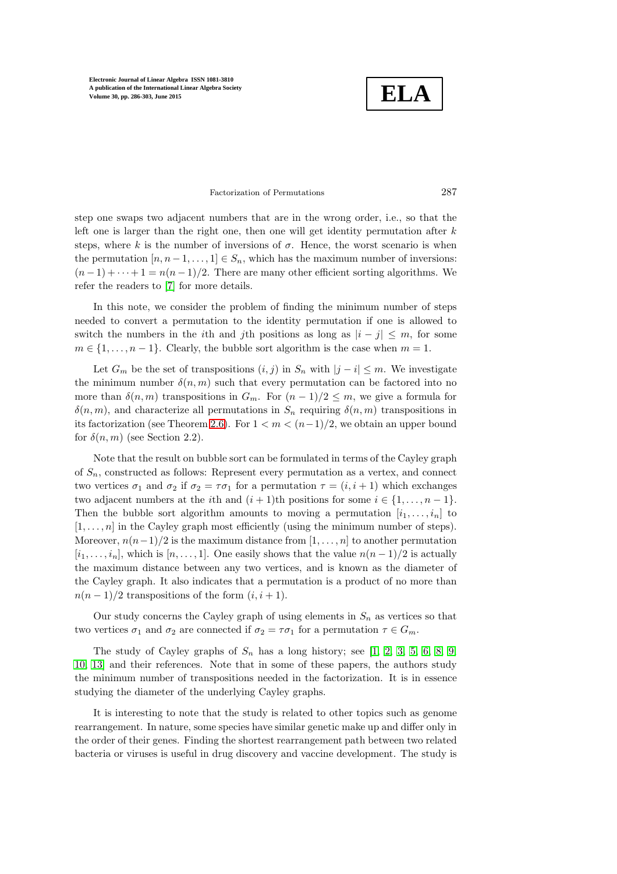**ELA**

#### Factorization of Permutations 287

step one swaps two adjacent numbers that are in the wrong order, i.e., so that the left one is larger than the right one, then one will get identity permutation after  $k$ steps, where k is the number of inversions of  $\sigma$ . Hence, the worst scenario is when the permutation  $[n, n-1, \ldots, 1] \in S_n$ , which has the maximum number of inversions:  $(n-1)+\cdots+1=n(n-1)/2$ . There are many other efficient sorting algorithms. We refer the readers to [\[7\]](#page-14-0) for more details.

In this note, we consider the problem of finding the minimum number of steps needed to convert a permutation to the identity permutation if one is allowed to switch the numbers in the *i*th and *j*th positions as long as  $|i - j| \leq m$ , for some  $m \in \{1, \ldots, n-1\}$ . Clearly, the bubble sort algorithm is the case when  $m = 1$ .

Let  $G_m$  be the set of transpositions  $(i, j)$  in  $S_n$  with  $|j - i| \leq m$ . We investigate the minimum number  $\delta(n,m)$  such that every permutation can be factored into no more than  $\delta(n,m)$  transpositions in  $G_m$ . For  $(n-1)/2 \leq m$ , we give a formula for  $\delta(n, m)$ , and characterize all permutations in  $S_n$  requiring  $\delta(n, m)$  transpositions in its factorization (see Theorem [2.6\)](#page-4-0). For  $1 < m < (n-1)/2$ , we obtain an upper bound for  $\delta(n, m)$  (see Section 2.2).

Note that the result on bubble sort can be formulated in terms of the Cayley graph of  $S_n$ , constructed as follows: Represent every permutation as a vertex, and connect two vertices  $\sigma_1$  and  $\sigma_2$  if  $\sigma_2 = \tau \sigma_1$  for a permutation  $\tau = (i, i + 1)$  which exchanges two adjacent numbers at the *i*th and  $(i + 1)$ th positions for some  $i \in \{1, ..., n-1\}$ . Then the bubble sort algorithm amounts to moving a permutation  $[i_1, \ldots, i_n]$  to  $[1, \ldots, n]$  in the Cayley graph most efficiently (using the minimum number of steps). Moreover,  $n(n-1)/2$  is the maximum distance from  $[1, \ldots, n]$  to another permutation  $[i_1, \ldots, i_n]$ , which is  $[n, \ldots, 1]$ . One easily shows that the value  $n(n-1)/2$  is actually the maximum distance between any two vertices, and is known as the diameter of the Cayley graph. It also indicates that a permutation is a product of no more than  $n(n-1)/2$  transpositions of the form  $(i, i + 1)$ .

Our study concerns the Cayley graph of using elements in  $S_n$  as vertices so that two vertices  $\sigma_1$  and  $\sigma_2$  are connected if  $\sigma_2 = \tau \sigma_1$  for a permutation  $\tau \in G_m$ .

The study of Cayley graphs of  $S_n$  has a long history; see [\[1,](#page-14-1) [2,](#page-14-2) [3,](#page-14-3) [5,](#page-14-4) [6,](#page-14-5) [8,](#page-14-6) [9,](#page-14-7) [10,](#page-14-8) [13\]](#page-14-9) and their references. Note that in some of these papers, the authors study the minimum number of transpositions needed in the factorization. It is in essence studying the diameter of the underlying Cayley graphs.

It is interesting to note that the study is related to other topics such as genome rearrangement. In nature, some species have similar genetic make up and differ only in the order of their genes. Finding the shortest rearrangement path between two related bacteria or viruses is useful in drug discovery and vaccine development. The study is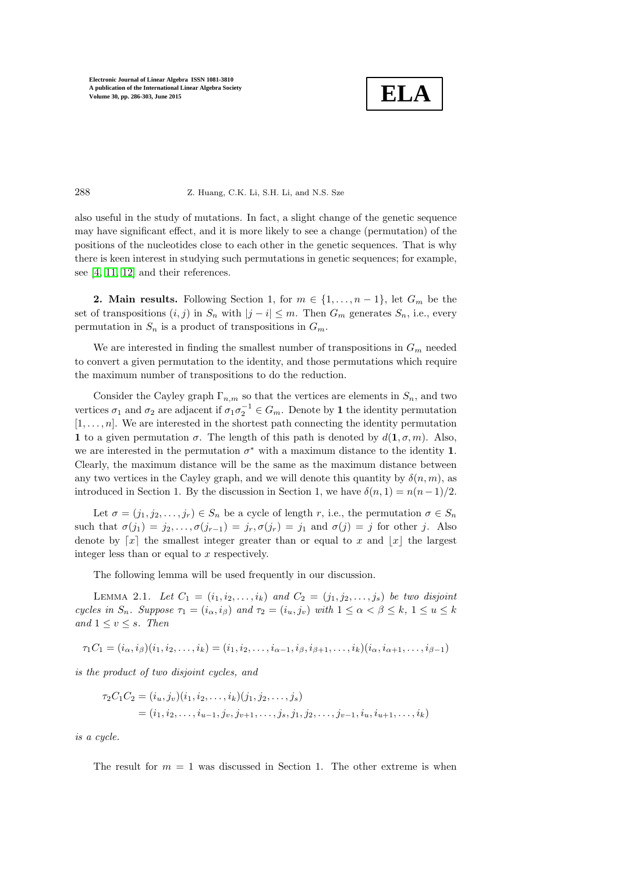

#### 288 Z. Huang, C.K. Li, S.H. Li, and N.S. Sze

also useful in the study of mutations. In fact, a slight change of the genetic sequence may have significant effect, and it is more likely to see a change (permutation) of the positions of the nucleotides close to each other in the genetic sequences. That is why there is keen interest in studying such permutations in genetic sequences; for example, see [\[4,](#page-14-10) [11,](#page-14-11) [12\]](#page-14-12) and their references.

2. Main results. Following Section 1, for  $m \in \{1, \ldots, n-1\}$ , let  $G_m$  be the set of transpositions  $(i, j)$  in  $S_n$  with  $|j - i| \leq m$ . Then  $G_m$  generates  $S_n$ , i.e., every permutation in  $S_n$  is a product of transpositions in  $G_m$ .

We are interested in finding the smallest number of transpositions in  $G_m$  needed to convert a given permutation to the identity, and those permutations which require the maximum number of transpositions to do the reduction.

Consider the Cayley graph  $\Gamma_{n,m}$  so that the vertices are elements in  $S_n$ , and two vertices  $\sigma_1$  and  $\sigma_2$  are adjacent if  $\sigma_1 \sigma_2^{-1} \in G_m$ . Denote by 1 the identity permutation  $[1, \ldots, n]$ . We are interested in the shortest path connecting the identity permutation 1 to a given permutation  $\sigma$ . The length of this path is denoted by  $d(1, \sigma, m)$ . Also, we are interested in the permutation  $\sigma^*$  with a maximum distance to the identity 1. Clearly, the maximum distance will be the same as the maximum distance between any two vertices in the Cayley graph, and we will denote this quantity by  $\delta(n, m)$ , as introduced in Section 1. By the discussion in Section 1, we have  $\delta(n, 1) = n(n-1)/2$ .

Let  $\sigma = (j_1, j_2, \ldots, j_r) \in S_n$  be a cycle of length r, i.e., the permutation  $\sigma \in S_n$ such that  $\sigma(j_1) = j_2, \ldots, \sigma(j_{r-1}) = j_r, \sigma(j_r) = j_1$  and  $\sigma(j) = j$  for other j. Also denote by  $[x]$  the smallest integer greater than or equal to x and  $[x]$  the largest integer less than or equal to  $x$  respectively.

<span id="page-2-0"></span>The following lemma will be used frequently in our discussion.

LEMMA 2.1. Let  $C_1 = (i_1, i_2, \ldots, i_k)$  and  $C_2 = (j_1, j_2, \ldots, j_s)$  be two disjoint cycles in  $S_n$ . Suppose  $\tau_1 = (i_\alpha, i_\beta)$  and  $\tau_2 = (i_u, j_v)$  with  $1 \leq \alpha < \beta \leq k$ ,  $1 \leq u \leq k$ and  $1 \leq v \leq s$ . Then

$$
\tau_1 C_1 = (i_{\alpha}, i_{\beta})(i_1, i_2, \dots, i_k) = (i_1, i_2, \dots, i_{\alpha-1}, i_{\beta}, i_{\beta+1}, \dots, i_k)(i_{\alpha}, i_{\alpha+1}, \dots, i_{\beta-1})
$$

is the product of two disjoint cycles, and

$$
\tau_2 C_1 C_2 = (i_u, j_v)(i_1, i_2, \dots, i_k)(j_1, j_2, \dots, j_s)
$$
  
=  $(i_1, i_2, \dots, i_{u-1}, j_v, j_{v+1}, \dots, j_s, j_1, j_2, \dots, j_{v-1}, i_u, i_{u+1}, \dots, i_k)$ 

is a cycle.

The result for  $m = 1$  was discussed in Section 1. The other extreme is when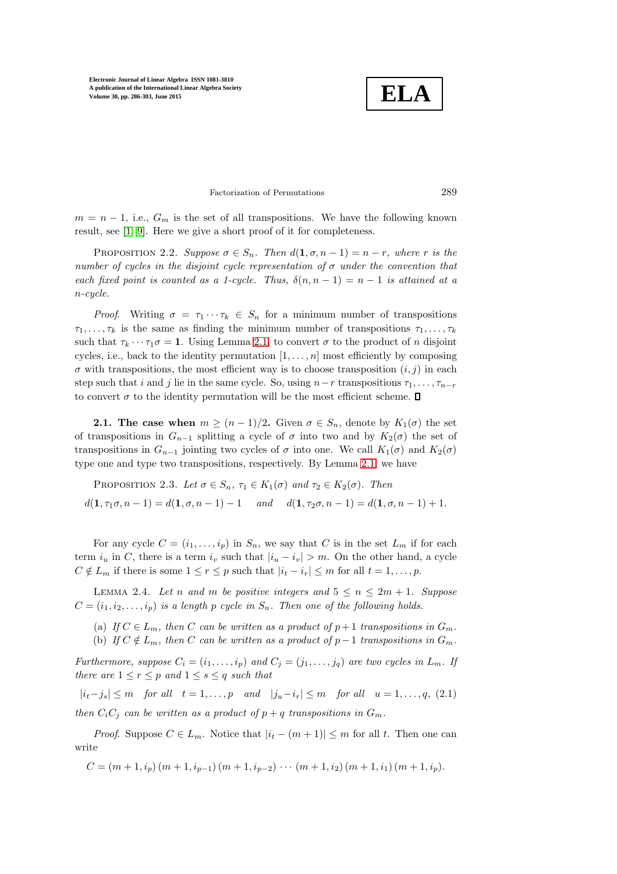

### Factorization of Permutations 289

 $m = n - 1$ , i.e.,  $G_m$  is the set of all transpositions. We have the following known result, see [\[1,](#page-14-1) [9\]](#page-14-7). Here we give a short proof of it for completeness.

PROPOSITION 2.2. Suppose  $\sigma \in S_n$ . Then  $d(1, \sigma, n-1) = n-r$ , where r is the number of cycles in the disjoint cycle representation of  $\sigma$  under the convention that each fixed point is counted as a 1-cycle. Thus,  $\delta(n, n - 1) = n - 1$  is attained at a n-cycle.

*Proof.* Writing  $\sigma = \tau_1 \cdots \tau_k \in S_n$  for a minimum number of transpositions  $\tau_1, \ldots, \tau_k$  is the same as finding the minimum number of transpositions  $\tau_1, \ldots, \tau_k$ such that  $\tau_k \cdots \tau_1 \sigma = 1$ . Using Lemma [2.1,](#page-2-0) to convert  $\sigma$  to the product of n disjoint cycles, i.e., back to the identity permutation  $[1, \ldots, n]$  most efficiently by composing  $\sigma$  with transpositions, the most efficient way is to choose transposition  $(i, j)$  in each step such that i and j lie in the same cycle. So, using  $n-r$  transpositions  $\tau_1, \ldots, \tau_{n-r}$ to convert  $\sigma$  to the identity permutation will be the most efficient scheme.  $\Box$ 

**2.1.** The case when  $m \ge (n-1)/2$ . Given  $\sigma \in S_n$ , denote by  $K_1(\sigma)$  the set of transpositions in  $G_{n-1}$  splitting a cycle of  $\sigma$  into two and by  $K_2(\sigma)$  the set of transpositions in  $G_{n-1}$  jointing two cycles of  $\sigma$  into one. We call  $K_1(\sigma)$  and  $K_2(\sigma)$ type one and type two transpositions, respectively. By Lemma [2.1,](#page-2-0) we have

PROPOSITION 2.3. Let  $\sigma \in S_n$ ,  $\tau_1 \in K_1(\sigma)$  and  $\tau_2 \in K_2(\sigma)$ . Then  $d(1, \tau_1 \sigma, n-1) = d(1, \sigma, n-1) - 1$  and  $d(1, \tau_2 \sigma, n-1) = d(1, \sigma, n-1) + 1$ .

For any cycle  $C = (i_1, \ldots, i_p)$  in  $S_n$ , we say that C is in the set  $L_m$  if for each term  $i_u$  in C, there is a term  $i_v$  such that  $|i_u - i_v| > m$ . On the other hand, a cycle  $C \notin L_m$  if there is some  $1 \leq r \leq p$  such that  $|i_t - i_r| \leq m$  for all  $t = 1, \ldots, p$ .

<span id="page-3-1"></span>LEMMA 2.4. Let n and m be positive integers and  $5 \le n \le 2m + 1$ . Suppose  $C = (i_1, i_2, \ldots, i_p)$  is a length p cycle in  $S_n$ . Then one of the following holds.

- (a) If  $C \in L_m$ , then C can be written as a product of  $p+1$  transpositions in  $G_m$ .
- (b) If  $C \notin L_m$ , then C can be written as a product of  $p-1$  transpositions in  $G_m$ .

Furthermore, suppose  $C_i = (i_1, \ldots, i_p)$  and  $C_j = (j_1, \ldots, j_q)$  are two cycles in  $L_m$ . If there are  $1 \le r \le p$  and  $1 \le s \le q$  such that

<span id="page-3-0"></span> $|i_t-j_s| \leq m$  for all  $t = 1, \ldots, p$  and  $|j_u-i_r| \leq m$  for all  $u = 1, \ldots, q$ , (2.1) then  $C_iC_j$  can be written as a product of  $p + q$  transpositions in  $G_m$ .

*Proof.* Suppose  $C \in L_m$ . Notice that  $|i_t - (m+1)| \leq m$  for all t. Then one can write

$$
C = (m+1, i_p)(m+1, i_{p-1})(m+1, i_{p-2}) \cdots (m+1, i_2)(m+1, i_1)(m+1, i_p).
$$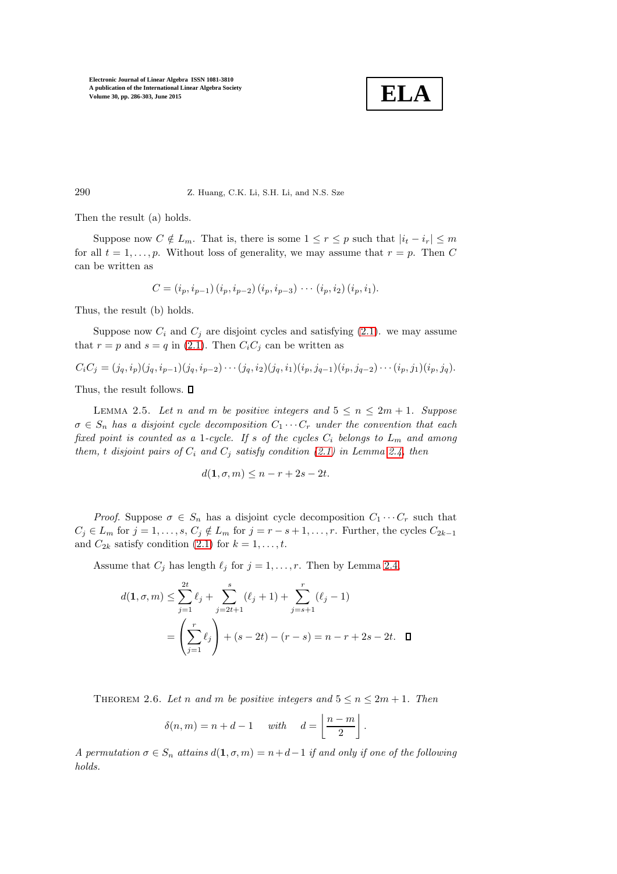

290 Z. Huang, C.K. Li, S.H. Li, and N.S. Sze

Then the result (a) holds.

Suppose now  $C \notin L_m$ . That is, there is some  $1 \leq r \leq p$  such that  $|i_t - i_r| \leq m$ for all  $t = 1, \ldots, p$ . Without loss of generality, we may assume that  $r = p$ . Then C can be written as

$$
C = (i_p, i_{p-1}) (i_p, i_{p-2}) (i_p, i_{p-3}) \cdots (i_p, i_2) (i_p, i_1).
$$

Thus, the result (b) holds.

Suppose now  $C_i$  and  $C_j$  are disjoint cycles and satisfying  $(2.1)$ . we may assume that  $r = p$  and  $s = q$  in [\(2.1\)](#page-3-0). Then  $C_i C_j$  can be written as

 $C_iC_j = (j_q, i_p)(j_q, i_{p-1})(j_q, i_{p-2})\cdots (j_q, i_2)(j_q, i_1)(i_p, j_{q-1})(i_p, j_{q-2})\cdots (i_p, j_1)(i_p, j_q).$ 

<span id="page-4-1"></span>Thus, the result follows.  $\Box$ 

LEMMA 2.5. Let n and m be positive integers and  $5 \le n \le 2m + 1$ . Suppose  $\sigma \in S_n$  has a disjoint cycle decomposition  $C_1 \cdots C_r$  under the convention that each fixed point is counted as a 1-cycle. If s of the cycles  $C_i$  belongs to  $L_m$  and among them, t disjoint pairs of  $C_i$  and  $C_j$  satisfy condition [\(2.1\)](#page-3-0) in Lemma [2.4,](#page-3-1) then

$$
d(1, \sigma, m) \le n - r + 2s - 2t.
$$

*Proof.* Suppose  $\sigma \in S_n$  has a disjoint cycle decomposition  $C_1 \cdots C_r$  such that  $C_j \in L_m$  for  $j = 1, \ldots, s, C_j \notin L_m$  for  $j = r - s + 1, \ldots, r$ . Further, the cycles  $C_{2k-1}$ and  $C_{2k}$  satisfy condition [\(2.1\)](#page-3-0) for  $k = 1, \ldots, t$ .

Assume that  $C_j$  has length  $\ell_j$  for  $j = 1, \ldots, r$ . Then by Lemma [2.4,](#page-3-1)

$$
d(1, \sigma, m) \le \sum_{j=1}^{2t} \ell_j + \sum_{j=2t+1}^{s} (\ell_j + 1) + \sum_{j=s+1}^{r} (\ell_j - 1)
$$
  
= 
$$
\left(\sum_{j=1}^{r} \ell_j\right) + (s - 2t) - (r - s) = n - r + 2s - 2t.
$$

<span id="page-4-0"></span>THEOREM 2.6. Let n and m be positive integers and  $5 \le n \le 2m + 1$ . Then

$$
\delta(n,m) = n + d - 1 \quad \text{with} \quad d = \left\lfloor \frac{n-m}{2} \right\rfloor.
$$

A permutation  $\sigma \in S_n$  attains  $d(1, \sigma, m) = n + d - 1$  if and only if one of the following holds.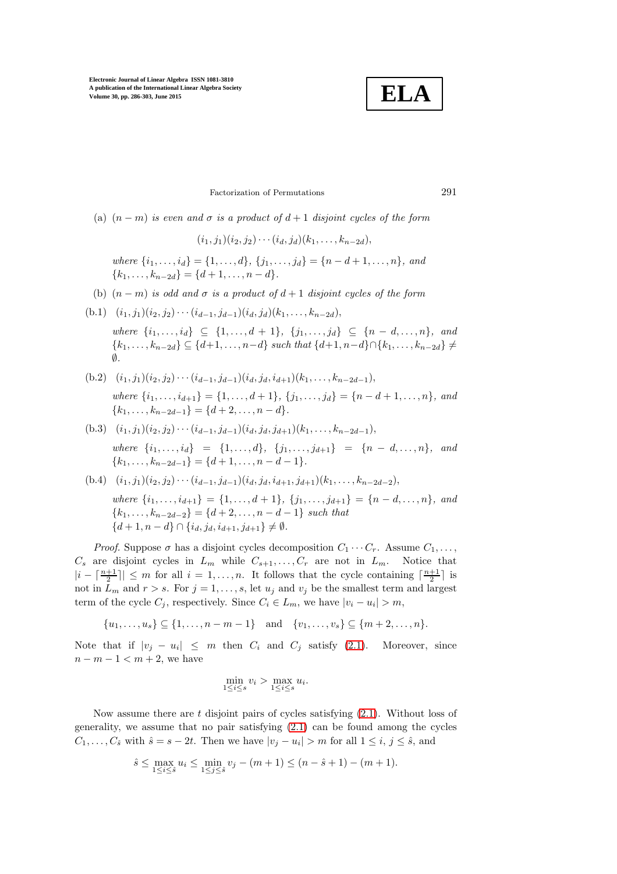

Factorization of Permutations 291

(a)  $(n - m)$  is even and  $\sigma$  is a product of  $d + 1$  disjoint cycles of the form

 $(i_1, j_1)(i_2, j_2)\cdots(i_d, j_d)(k_1, \ldots, k_{n-2d}),$ 

where  $\{i_1, \ldots, i_d\} = \{1, \ldots, d\}, \{j_1, \ldots, j_d\} = \{n - d + 1, \ldots, n\},$  and  ${k_1, \ldots, k_{n-2d}} = {d+1, \ldots, n-d}.$ 

- (b)  $(n-m)$  is odd and  $\sigma$  is a product of  $d+1$  disjoint cycles of the form
- (b.1)  $(i_1, j_1)(i_2, j_2)\cdots (i_{d-1}, j_{d-1})(i_d, j_d)(k_1, \ldots, k_{n-2d}),$

where  $\{i_1, \ldots, i_d\} \subseteq \{1, \ldots, d+1\}, \{j_1, \ldots, j_d\} \subseteq \{n-d, \ldots, n\},$  and  $\{k_1, \ldots, k_{n-2d}\} \subseteq \{d+1, \ldots, n-d\}$  such that  $\{d+1, n-d\} \cap \{k_1, \ldots, k_{n-2d}\} \neq$ ∅.

- (b.2)  $(i_1, j_1)(i_2, j_2)\cdots(i_{d-1}, j_{d-1})(i_d, j_d, i_{d+1})(k_1, \ldots, k_{n-2d-1}),$ where  $\{i_1, \ldots, i_{d+1}\} = \{1, \ldots, d+1\}, \{j_1, \ldots, j_d\} = \{n-d+1, \ldots, n\},$  and  ${k_1, \ldots, k_{n-2d-1}} = {d+2, \ldots, n-d}.$
- (b.3)  $(i_1, j_1)(i_2, j_2)\cdots(i_{d-1}, j_{d-1})(i_d, j_d, j_{d+1})(k_1, \ldots, k_{n-2d-1}),$ where  $\{i_1, \ldots, i_d\} = \{1, \ldots, d\}, \{j_1, \ldots, j_{d+1}\} = \{n-d, \ldots, n\}, \text{and}$  ${k_1, \ldots, k_{n-2d-1}} = {d+1, \ldots, n-d-1}.$
- (b.4)  $(i_1, j_1)(i_2, j_2)\cdots(i_{d-1}, j_{d-1})(i_d, j_d, i_{d+1}, j_{d+1})(k_1, \ldots, k_{n-2d-2}),$ where  $\{i_1, \ldots, i_{d+1}\} = \{1, \ldots, d+1\}, \{j_1, \ldots, j_{d+1}\} = \{n-d, \ldots, n\},$  and  ${k_1, \ldots, k_{n-2d-2}} = {d+2, \ldots, n-d-1}$  such that  ${d+1, n-d} \cap {i_d, j_d, i_{d+1}, j_{d+1}} \neq \emptyset.$

*Proof.* Suppose  $\sigma$  has a disjoint cycles decomposition  $C_1 \cdots C_r$ . Assume  $C_1, \ldots$ ,  $C_s$  are disjoint cycles in  $L_m$  while  $C_{s+1}, \ldots, C_r$  are not in  $L_m$ . Notice that  $|i - \lceil \frac{n+1}{2} \rceil \leq m$  for all  $i = 1, ..., n$ . It follows that the cycle containing  $\lceil \frac{n+1}{2} \rceil$  is not in  $L_m$  and  $r > s$ . For  $j = 1, ..., s$ , let  $u_j$  and  $v_j$  be the smallest term and largest term of the cycle  $C_j$ , respectively. Since  $C_i \in L_m$ , we have  $|v_i - u_i| > m$ ,

$$
\{u_1, \ldots, u_s\} \subseteq \{1, \ldots, n-m-1\} \text{ and } \{v_1, \ldots, v_s\} \subseteq \{m+2, \ldots, n\}.
$$

Note that if  $|v_j - u_i| \leq m$  then  $C_i$  and  $C_j$  satisfy [\(2.1\)](#page-3-0). Moreover, since  $n-m-1 < m+2$ , we have

$$
\min_{1 \le i \le s} v_i > \max_{1 \le i \le s} u_i.
$$

Now assume there are t disjoint pairs of cycles satisfying [\(2.1\)](#page-3-0). Without loss of generality, we assume that no pair satisfying  $(2.1)$  can be found among the cycles  $C_1, \ldots, C_{\hat{s}}$  with  $\hat{s} = s - 2t$ . Then we have  $|v_j - u_i| > m$  for all  $1 \leq i, j \leq \hat{s}$ , and

$$
\hat{s} \le \max_{1 \le i \le \hat{s}} u_i \le \min_{1 \le j \le \hat{s}} v_j - (m+1) \le (n-\hat{s}+1) - (m+1).
$$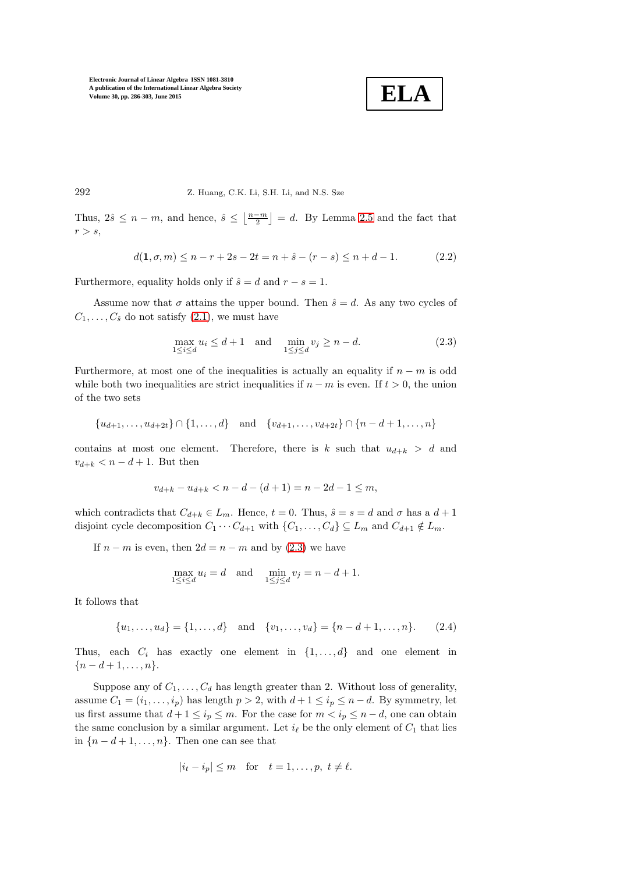

292 Z. Huang, C.K. Li, S.H. Li, and N.S. Sze

Thus,  $2\hat{s} \leq n-m$ , and hence,  $\hat{s} \leq \left\lfloor \frac{n-m}{2} \right\rfloor = d$ . By Lemma [2.5](#page-4-1) and the fact that  $r > s$ ,

$$
d(1, \sigma, m) \le n - r + 2s - 2t = n + \hat{s} - (r - s) \le n + d - 1. \tag{2.2}
$$

Furthermore, equality holds only if  $\hat{s} = d$  and  $r - s = 1$ .

Assume now that  $\sigma$  attains the upper bound. Then  $\hat{s} = d$ . As any two cycles of  $C_1, \ldots, C_{\hat{s}}$  do not satisfy  $(2.1)$ , we must have

<span id="page-6-0"></span>
$$
\max_{1 \le i \le d} u_i \le d+1 \quad \text{and} \quad \min_{1 \le j \le d} v_j \ge n-d. \tag{2.3}
$$

Furthermore, at most one of the inequalities is actually an equality if  $n - m$  is odd while both two inequalities are strict inequalities if  $n - m$  is even. If  $t > 0$ , the union of the two sets

$$
\{u_{d+1},\ldots,u_{d+2t}\}\cap\{1,\ldots,d\} \text{ and } \{v_{d+1},\ldots,v_{d+2t}\}\cap\{n-d+1,\ldots,n\}
$$

contains at most one element. Therefore, there is k such that  $u_{d+k} > d$  and  $v_{d+k} < n-d+1$ . But then

$$
v_{d+k} - u_{d+k} < n - d - (d+1) = n - 2d - 1 \le m
$$

which contradicts that  $C_{d+k} \in L_m$ . Hence,  $t = 0$ . Thus,  $\hat{s} = s = d$  and  $\sigma$  has a  $d+1$ disjoint cycle decomposition  $C_1 \cdots C_{d+1}$  with  $\{C_1, \ldots, C_d\} \subseteq L_m$  and  $C_{d+1} \notin L_m$ .

If  $n - m$  is even, then  $2d = n - m$  and by [\(2.3\)](#page-6-0) we have

$$
\max_{1 \le i \le d} u_i = d \quad \text{and} \quad \min_{1 \le j \le d} v_j = n - d + 1.
$$

It follows that

<span id="page-6-1"></span>
$$
\{u_1, \ldots, u_d\} = \{1, \ldots, d\} \text{ and } \{v_1, \ldots, v_d\} = \{n - d + 1, \ldots, n\}.
$$
 (2.4)

Thus, each  $C_i$  has exactly one element in  $\{1, \ldots, d\}$  and one element in  ${n-d+1,\ldots,n}.$ 

Suppose any of  $C_1, \ldots, C_d$  has length greater than 2. Without loss of generality, assume  $C_1 = (i_1, \ldots, i_p)$  has length  $p > 2$ , with  $d+1 \leq i_p \leq n-d$ . By symmetry, let us first assume that  $d+1 \leq i_p \leq m$ . For the case for  $m < i_p \leq n-d$ , one can obtain the same conclusion by a similar argument. Let  $i_{\ell}$  be the only element of  $C_1$  that lies in  ${n-d+1,\ldots,n}$ . Then one can see that

$$
|i_t - i_p| \le m \quad \text{for} \quad t = 1, \dots, p, \ t \ne \ell.
$$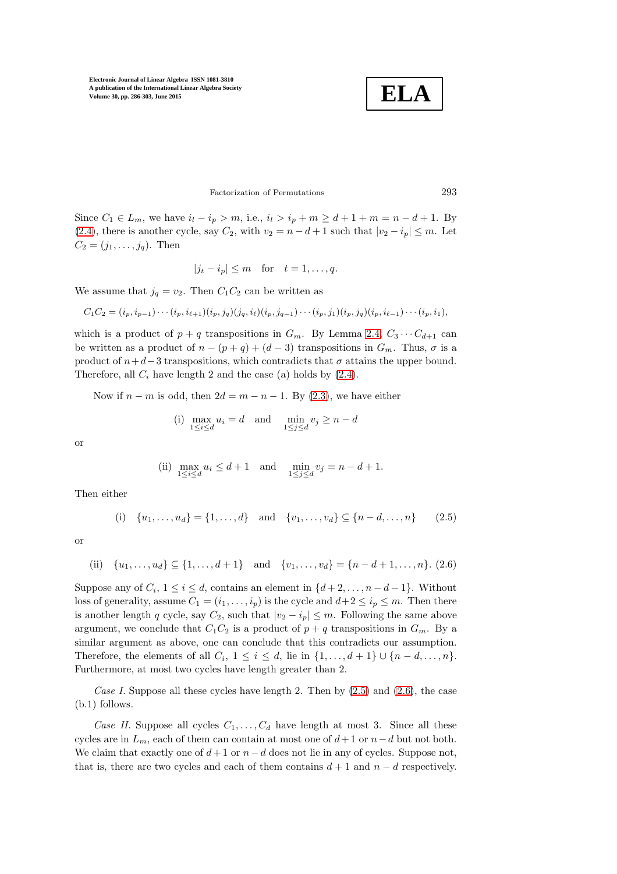**ELA**

# Factorization of Permutations 293

Since  $C_1 \in L_m$ , we have  $i_l - i_p > m$ , i.e.,  $i_l > i_p + m \geq d+1 + m = n - d + 1$ . By [\(2.4\)](#page-6-1), there is another cycle, say  $C_2$ , with  $v_2 = n - d + 1$  such that  $|v_2 - i_p| \leq m$ . Let  $C_2 = (j_1, \ldots, j_q)$ . Then

$$
|j_t - i_p| \le m \quad \text{for} \quad t = 1, \dots, q.
$$

We assume that  $j_q = v_2$ . Then  $C_1C_2$  can be written as

 $C_1C_2 = (i_p, i_{p-1})\cdots(i_p, i_{\ell+1})(i_p, j_q)(j_q, i_{\ell})(i_p, j_{q-1})\cdots(i_p, j_1)(i_p, j_q)(i_p, i_{\ell-1})\cdots(i_p, i_1),$ 

which is a product of  $p + q$  transpositions in  $G_m$ . By Lemma [2.4,](#page-3-1)  $C_3 \cdots C_{d+1}$  can be written as a product of  $n - (p + q) + (d - 3)$  transpositions in  $G_m$ . Thus,  $\sigma$  is a product of  $n+d-3$  transpositions, which contradicts that  $\sigma$  attains the upper bound. Therefore, all  $C_i$  have length 2 and the case (a) holds by  $(2.4)$ .

Now if  $n - m$  is odd, then  $2d = m - n - 1$ . By [\(2.3\)](#page-6-0), we have either

(i) 
$$
\max_{1 \le i \le d} u_i = d
$$
 and  $\min_{1 \le j \le d} v_j \ge n - d$ 

or

(ii) 
$$
\max_{1 \le i \le d} u_i \le d+1 \quad \text{and} \quad \min_{1 \le j \le d} v_j = n-d+1.
$$

Then either

<span id="page-7-0"></span>(i) 
$$
\{u_1, \ldots, u_d\} = \{1, \ldots, d\}
$$
 and  $\{v_1, \ldots, v_d\} \subseteq \{n-d, \ldots, n\}$  (2.5)

or

<span id="page-7-1"></span>(ii) 
$$
\{u_1, \ldots, u_d\} \subseteq \{1, \ldots, d+1\}
$$
 and  $\{v_1, \ldots, v_d\} = \{n-d+1, \ldots, n\}$ . (2.6)

Suppose any of  $C_i$ ,  $1 \leq i \leq d$ , contains an element in  $\{d+2,\ldots,n-d-1\}$ . Without loss of generality, assume  $C_1 = (i_1, \ldots, i_p)$  is the cycle and  $d+2 \leq i_p \leq m$ . Then there is another length q cycle, say  $C_2$ , such that  $|v_2 - i_p| \leq m$ . Following the same above argument, we conclude that  $C_1C_2$  is a product of  $p + q$  transpositions in  $G_m$ . By a similar argument as above, one can conclude that this contradicts our assumption. Therefore, the elements of all  $C_i$ ,  $1 \leq i \leq d$ , lie in  $\{1, \ldots, d+1\} \cup \{n-d, \ldots, n\}$ . Furthermore, at most two cycles have length greater than 2.

Case I. Suppose all these cycles have length 2. Then by  $(2.5)$  and  $(2.6)$ , the case (b.1) follows.

Case II. Suppose all cycles  $C_1, \ldots, C_d$  have length at most 3. Since all these cycles are in  $L_m$ , each of them can contain at most one of  $d+1$  or  $n-d$  but not both. We claim that exactly one of  $d+1$  or  $n-d$  does not lie in any of cycles. Suppose not, that is, there are two cycles and each of them contains  $d + 1$  and  $n - d$  respectively.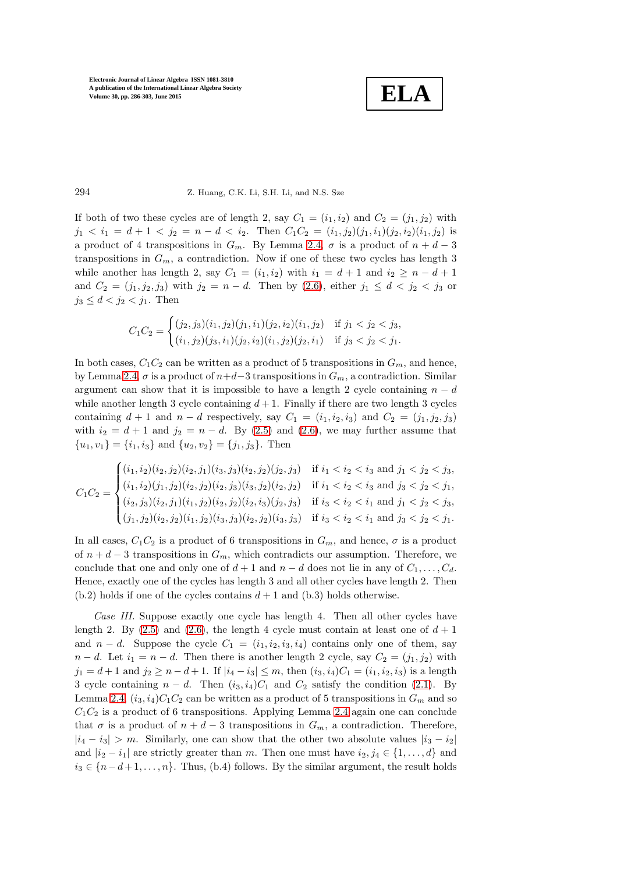**ELA**

### 294 Z. Huang, C.K. Li, S.H. Li, and N.S. Sze

If both of two these cycles are of length 2, say  $C_1 = (i_1, i_2)$  and  $C_2 = (j_1, j_2)$  with  $j_1 < i_1 = d + 1 < j_2 = n - d < i_2$ . Then  $C_1 C_2 = (i_1, j_2)(j_1, i_1)(j_2, i_2)(i_1, j_2)$  is a product of 4 transpositions in  $G_m$ . By Lemma [2.4,](#page-3-1)  $\sigma$  is a product of  $n + d - 3$ transpositions in  $G_m$ , a contradiction. Now if one of these two cycles has length 3 while another has length 2, say  $C_1 = (i_1, i_2)$  with  $i_1 = d + 1$  and  $i_2 \geq n - d + 1$ and  $C_2 = (j_1, j_2, j_3)$  with  $j_2 = n - d$ . Then by [\(2.6\)](#page-7-1), either  $j_1 \leq d < j_2 < j_3$  or  $j_3 \leq d < j_2 < j_1$ . Then

$$
C_1C_2 = \begin{cases} (j_2, j_3)(i_1, j_2)(j_1, i_1)(j_2, i_2)(i_1, j_2) & \text{if } j_1 < j_2 < j_3, \\ (i_1, j_2)(j_3, i_1)(j_2, i_2)(i_1, j_2)(j_2, i_1) & \text{if } j_3 < j_2 < j_1. \end{cases}
$$

In both cases,  $C_1C_2$  can be written as a product of 5 transpositions in  $G_m$ , and hence, by Lemma [2.4,](#page-3-1)  $\sigma$  is a product of  $n+d-3$  transpositions in  $G_m$ , a contradiction. Similar argument can show that it is impossible to have a length 2 cycle containing  $n - d$ while another length 3 cycle containing  $d + 1$ . Finally if there are two length 3 cycles containing  $d + 1$  and  $n - d$  respectively, say  $C_1 = (i_1, i_2, i_3)$  and  $C_2 = (j_1, j_2, j_3)$ with  $i_2 = d + 1$  and  $j_2 = n - d$ . By [\(2.5\)](#page-7-0) and [\(2.6\)](#page-7-1), we may further assume that  ${u_1, v_1} = {i_1, i_3}$  and  ${u_2, v_2} = {j_1, j_3}$ . Then

$$
C_1C_2 = \begin{cases} (i_1, i_2)(i_2, j_2)(i_2, j_1)(i_3, j_3)(i_2, j_2)(j_2, j_3) & \text{if } i_1 < i_2 < i_3 \text{ and } j_1 < j_2 < j_3, \\ (i_1, i_2)(j_1, j_2)(i_2, j_2)(i_2, j_3)(i_3, j_2)(i_2, j_2) & \text{if } i_1 < i_2 < i_3 \text{ and } j_3 < j_2 < j_1, \\ (i_2, j_3)(i_2, j_1)(i_1, j_2)(i_2, j_2)(i_2, i_3)(j_2, j_3) & \text{if } i_3 < i_2 < i_1 \text{ and } j_1 < j_2 < j_3, \\ (j_1, j_2)(i_2, j_2)(i_1, j_2)(i_3, j_3)(i_2, j_2)(i_3, j_3) & \text{if } i_3 < i_2 < i_1 \text{ and } j_3 < j_2 < j_1. \end{cases}
$$

In all cases,  $C_1C_2$  is a product of 6 transpositions in  $G_m$ , and hence,  $\sigma$  is a product of  $n + d - 3$  transpositions in  $G_m$ , which contradicts our assumption. Therefore, we conclude that one and only one of  $d+1$  and  $n-d$  does not lie in any of  $C_1, \ldots, C_d$ . Hence, exactly one of the cycles has length 3 and all other cycles have length 2. Then  $(b.2)$  holds if one of the cycles contains  $d + 1$  and  $(b.3)$  holds otherwise.

Case III. Suppose exactly one cycle has length 4. Then all other cycles have length 2. By [\(2.5\)](#page-7-0) and [\(2.6\)](#page-7-1), the length 4 cycle must contain at least one of  $d+1$ and  $n - d$ . Suppose the cycle  $C_1 = (i_1, i_2, i_3, i_4)$  contains only one of them, say  $n - d$ . Let  $i_1 = n - d$ . Then there is another length 2 cycle, say  $C_2 = (j_1, j_2)$  with  $j_1 = d + 1$  and  $j_2 \ge n - d + 1$ . If  $|i_4 - i_3| \le m$ , then  $(i_3, i_4)C_1 = (i_1, i_2, i_3)$  is a length 3 cycle containing  $n - d$ . Then  $(i_3, i_4)C_1$  and  $C_2$  satisfy the condition [\(2.1\)](#page-3-0). By Lemma [2.4,](#page-3-1)  $(i_3, i_4)C_1C_2$  can be written as a product of 5 transpositions in  $G_m$  and so  $C_1C_2$  is a product of 6 transpositions. Applying Lemma [2.4](#page-3-1) again one can conclude that  $\sigma$  is a product of  $n + d - 3$  transpositions in  $G_m$ , a contradiction. Therefore,  $|i_4 - i_3| > m$ . Similarly, one can show that the other two absolute values  $|i_3 - i_2|$ and  $|i_2 - i_1|$  are strictly greater than m. Then one must have  $i_2, j_4 \in \{1, ..., d\}$  and  $i_3 \in \{n-d+1,\ldots,n\}$ . Thus, (b.4) follows. By the similar argument, the result holds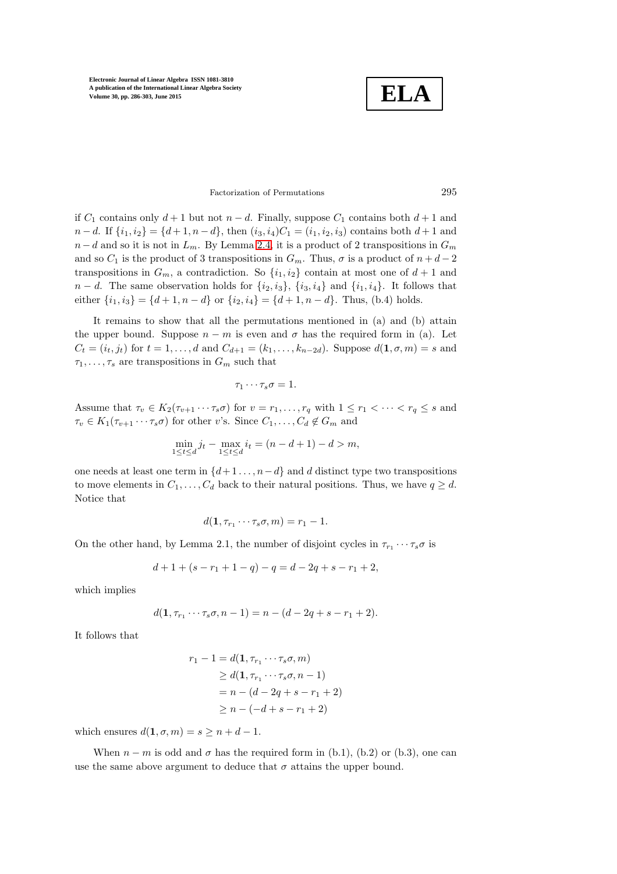**ELA**

## Factorization of Permutations 295

if  $C_1$  contains only  $d+1$  but not  $n-d$ . Finally, suppose  $C_1$  contains both  $d+1$  and  $n - d$ . If  $\{i_1, i_2\} = \{d + 1, n - d\}$ , then  $(i_3, i_4)C_1 = (i_1, i_2, i_3)$  contains both  $d + 1$  and  $n - d$  and so it is not in  $L_m$ . By Lemma [2.4,](#page-3-1) it is a product of 2 transpositions in  $G_m$ and so  $C_1$  is the product of 3 transpositions in  $G_m$ . Thus,  $\sigma$  is a product of  $n + d - 2$ transpositions in  $G_m$ , a contradiction. So  $\{i_1, i_2\}$  contain at most one of  $d+1$  and  $n - d$ . The same observation holds for  $\{i_2, i_3\}$ ,  $\{i_3, i_4\}$  and  $\{i_1, i_4\}$ . It follows that either  $\{i_1, i_3\} = \{d+1, n-d\}$  or  $\{i_2, i_4\} = \{d+1, n-d\}$ . Thus, (b.4) holds.

It remains to show that all the permutations mentioned in (a) and (b) attain the upper bound. Suppose  $n - m$  is even and  $\sigma$  has the required form in (a). Let  $C_t = (i_t, j_t)$  for  $t = 1, \ldots, d$  and  $C_{d+1} = (k_1, \ldots, k_{n-2d})$ . Suppose  $d(1, \sigma, m) = s$  and  $\tau_1, \ldots, \tau_s$  are transpositions in  $G_m$  such that

$$
\tau_1\cdots\tau_s\sigma=1.
$$

Assume that  $\tau_v \in K_2(\tau_{v+1} \cdots \tau_s \sigma)$  for  $v = r_1, \ldots, r_q$  with  $1 \leq r_1 < \cdots < r_q \leq s$  and  $\tau_v \in K_1(\tau_{v+1} \cdots \tau_s \sigma)$  for other v's. Since  $C_1, \ldots, C_d \notin G_m$  and

$$
\min_{1 \le t \le d} j_t - \max_{1 \le t \le d} i_t = (n - d + 1) - d > m,
$$

one needs at least one term in  $\{d+1 \ldots, n-d\}$  and d distinct type two transpositions to move elements in  $C_1, \ldots, C_d$  back to their natural positions. Thus, we have  $q \geq d$ . Notice that

$$
d(\mathbf{1}, \tau_{r_1} \cdots \tau_s \sigma, m) = r_1 - 1.
$$

On the other hand, by Lemma 2.1, the number of disjoint cycles in  $\tau_{r_1} \cdots \tau_s \sigma$  is

$$
d+1+(s-r_1+1-q)-q=d-2q+s-r_1+2,
$$

which implies

$$
d(1, \tau_{r_1} \cdots \tau_s \sigma, n-1) = n - (d - 2q + s - r_1 + 2).
$$

It follows that

$$
r_1 - 1 = d(1, \tau_{r_1} \cdots \tau_s \sigma, m)
$$
  
\n
$$
\geq d(1, \tau_{r_1} \cdots \tau_s \sigma, n - 1)
$$
  
\n
$$
= n - (d - 2q + s - r_1 + 2)
$$
  
\n
$$
\geq n - (-d + s - r_1 + 2)
$$

which ensures  $d(1, \sigma, m) = s \geq n + d - 1$ .

When  $n - m$  is odd and  $\sigma$  has the required form in (b.1), (b.2) or (b.3), one can use the same above argument to deduce that  $\sigma$  attains the upper bound.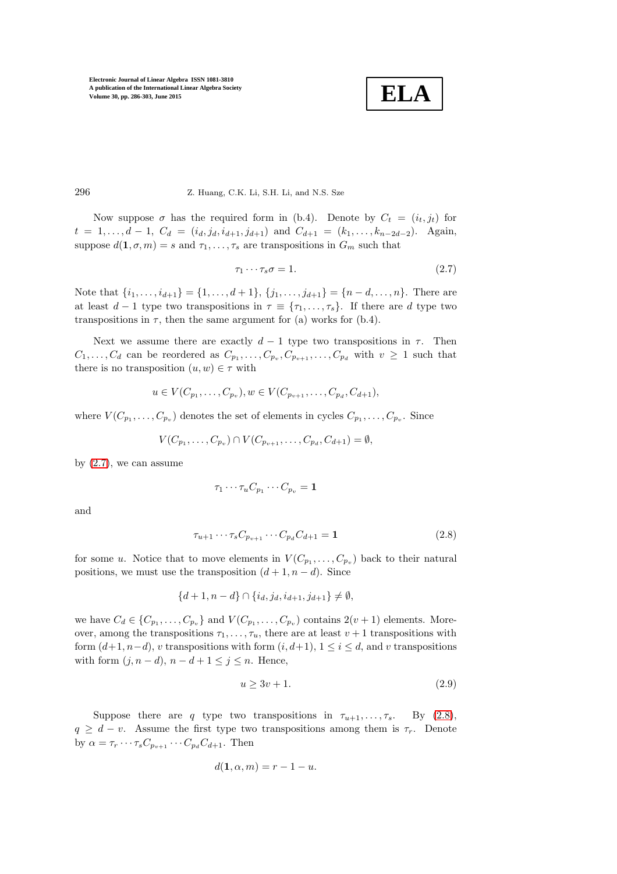**ELA**

296 Z. Huang, C.K. Li, S.H. Li, and N.S. Sze

Now suppose  $\sigma$  has the required form in (b.4). Denote by  $C_t = (i_t, j_t)$  for  $t = 1, \ldots, d - 1, C_d = (i_d, j_d, i_{d+1}, j_{d+1})$  and  $C_{d+1} = (k_1, \ldots, k_{n-2d-2})$ . Again, suppose  $d(1, \sigma, m) = s$  and  $\tau_1, \ldots, \tau_s$  are transpositions in  $G_m$  such that

<span id="page-10-0"></span>
$$
\tau_1 \cdots \tau_s \sigma = 1. \tag{2.7}
$$

Note that  $\{i_1, \ldots, i_{d+1}\} = \{1, \ldots, d+1\}, \{j_1, \ldots, j_{d+1}\} = \{n-d, \ldots, n\}.$  There are at least  $d-1$  type two transpositions in  $\tau \equiv {\tau_1, \ldots, \tau_s}$ . If there are d type two transpositions in  $\tau$ , then the same argument for (a) works for (b.4).

Next we assume there are exactly  $d-1$  type two transpositions in  $\tau$ . Then  $C_1, \ldots, C_d$  can be reordered as  $C_{p_1}, \ldots, C_{p_v}, C_{p_{v+1}}, \ldots, C_{p_d}$  with  $v \geq 1$  such that there is no transposition  $(u, w) \in \tau$  with

$$
u \in V(C_{p_1}, \ldots, C_{p_v}), w \in V(C_{p_{v+1}}, \ldots, C_{p_d}, C_{d+1}),
$$

where  $V(C_{p_1}, \ldots, C_{p_v})$  denotes the set of elements in cycles  $C_{p_1}, \ldots, C_{p_v}$ . Since

$$
V(C_{p_1},...,C_{p_v}) \cap V(C_{p_{v+1}},...,C_{p_d},C_{d+1}) = \emptyset,
$$

by  $(2.7)$ , we can assume

$$
\tau_1 \cdots \tau_u C_{p_1} \cdots C_{p_v} = \mathbf{1}
$$

and

<span id="page-10-1"></span>
$$
\tau_{u+1} \cdots \tau_s C_{p_{v+1}} \cdots C_{p_d} C_{d+1} = \mathbf{1}
$$
\n(2.8)

for some u. Notice that to move elements in  $V(C_{p_1},...,C_{p_v})$  back to their natural positions, we must use the transposition  $(d+1, n-d)$ . Since

$$
\{d+1, n-d\} \cap \{i_d, j_d, i_{d+1}, j_{d+1}\} \neq \emptyset,
$$

we have  $C_d \in \{C_{p_1}, \ldots, C_{p_v}\}\$ and  $V(C_{p_1}, \ldots, C_{p_v})$  contains  $2(v+1)$  elements. Moreover, among the transpositions  $\tau_1, \ldots, \tau_u$ , there are at least  $v + 1$  transpositions with form  $(d+1, n-d)$ , v transpositions with form  $(i, d+1)$ ,  $1 \leq i \leq d$ , and v transpositions with form  $(j, n-d)$ ,  $n-d+1 \leq j \leq n$ . Hence,

<span id="page-10-2"></span>
$$
u \ge 3v + 1.\tag{2.9}
$$

Suppose there are q type two transpositions in  $\tau_{u+1}, \ldots, \tau_s$ . By [\(2.8\)](#page-10-1),  $q \geq d - v$ . Assume the first type two transpositions among them is  $\tau_r$ . Denote by  $\alpha = \tau_r \cdots \tau_s C_{p_{v+1}} \cdots C_{p_d} C_{d+1}$ . Then

$$
d(\mathbf{1}, \alpha, m) = r - 1 - u.
$$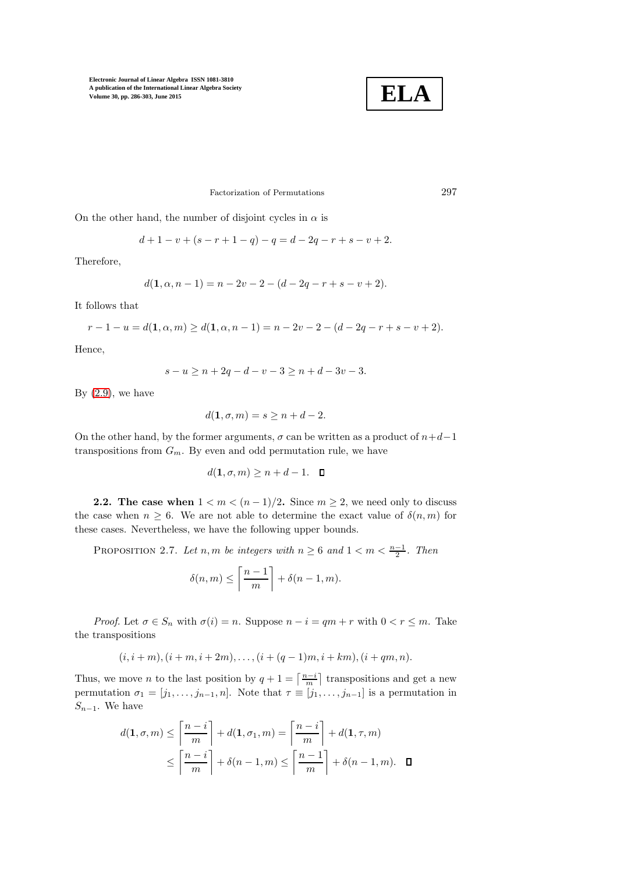

## Factorization of Permutations 297

On the other hand, the number of disjoint cycles in  $\alpha$  is

$$
d+1-v+(s-r+1-q)-q=d-2q-r+s-v+2.
$$

Therefore,

$$
d(1, \alpha, n-1) = n - 2v - 2 - (d - 2q - r + s - v + 2).
$$

It follows that

$$
r-1-u=d(1, \alpha, m) \geq d(1, \alpha, n-1) = n-2v-2-(d-2q-r+s-v+2).
$$

Hence,

$$
s - u \ge n + 2q - d - v - 3 \ge n + d - 3v - 3.
$$

By  $(2.9)$ , we have

$$
d(\mathbf{1}, \sigma, m) = s \ge n + d - 2.
$$

On the other hand, by the former arguments,  $\sigma$  can be written as a product of  $n+d-1$ transpositions from  $G_m$ . By even and odd permutation rule, we have

 $d(1, \sigma, m) \geq n + d - 1$ .  $\Box$ 

<span id="page-11-0"></span>2.2. The case when  $1 < m < (n-1)/2$ . Since  $m \geq 2$ , we need only to discuss the case when  $n \geq 6$ . We are not able to determine the exact value of  $\delta(n, m)$  for these cases. Nevertheless, we have the following upper bounds.

PROPOSITION 2.7. Let  $n, m$  be integers with  $n \geq 6$  and  $1 < m < \frac{n-1}{2}$ . Then

$$
\delta(n,m) \le \left\lceil \frac{n-1}{m} \right\rceil + \delta(n-1,m).
$$

*Proof.* Let  $\sigma \in S_n$  with  $\sigma(i) = n$ . Suppose  $n - i = qm + r$  with  $0 < r \leq m$ . Take the transpositions

$$
(i, i + m), (i + m, i + 2m), \dots, (i + (q - 1)m, i + km), (i + qm, n).
$$

Thus, we move *n* to the last position by  $q + 1 = \left\lceil \frac{n-i}{m} \right\rceil$  transpositions and get a new permutation  $\sigma_1 = [j_1, \ldots, j_{n-1}, n]$ . Note that  $\tau \equiv [j_1, \ldots, j_{n-1}]$  is a permutation in  $S_{n-1}$ . We have

$$
d(\mathbf{1}, \sigma, m) \le \left\lceil \frac{n-i}{m} \right\rceil + d(\mathbf{1}, \sigma_1, m) = \left\lceil \frac{n-i}{m} \right\rceil + d(\mathbf{1}, \tau, m)
$$

$$
\le \left\lceil \frac{n-i}{m} \right\rceil + \delta(n-1, m) \le \left\lceil \frac{n-1}{m} \right\rceil + \delta(n-1, m). \quad \blacksquare
$$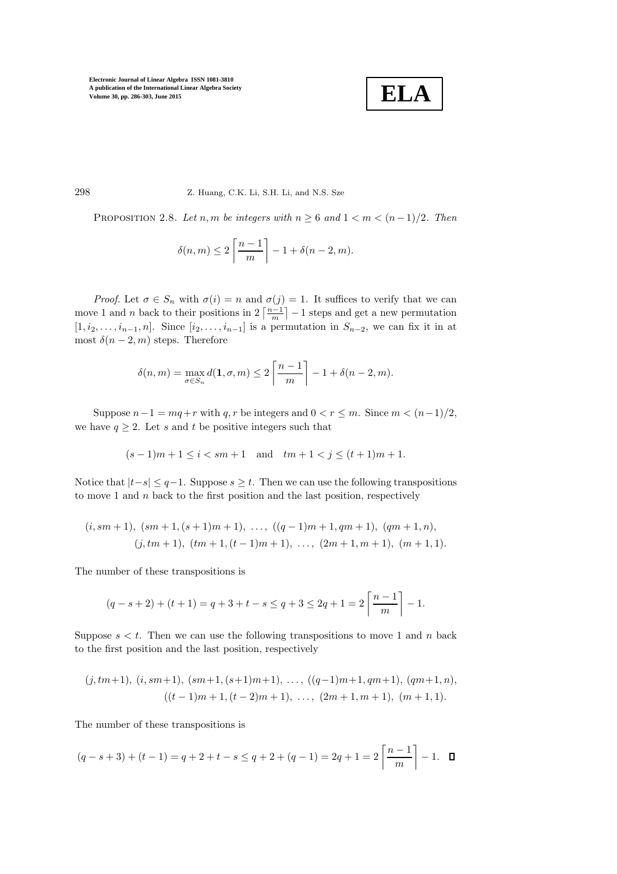**ELA**

<span id="page-12-0"></span>298 Z. Huang, C.K. Li, S.H. Li, and N.S. Sze

PROPOSITION 2.8. Let n, m be integers with  $n \geq 6$  and  $1 < m < (n-1)/2$ . Then

$$
\delta(n, m) \le 2\left\lceil \frac{n-1}{m} \right\rceil - 1 + \delta(n-2, m).
$$

*Proof.* Let  $\sigma \in S_n$  with  $\sigma(i) = n$  and  $\sigma(j) = 1$ . It suffices to verify that we can move 1 and *n* back to their positions in  $2\left\lceil \frac{n-1}{m} \right\rceil - 1$  steps and get a new permutation  $[1, i_2, \ldots, i_{n-1}, n]$ . Since  $[i_2, \ldots, i_{n-1}]$  is a permutation in  $S_{n-2}$ , we can fix it in at most  $\delta(n-2,m)$  steps. Therefore

$$
\delta(n, m) = \max_{\sigma \in S_n} d(1, \sigma, m) \le 2 \left\lceil \frac{n-1}{m} \right\rceil - 1 + \delta(n-2, m).
$$

Suppose  $n-1 = mq+r$  with q, r be integers and  $0 < r \leq m$ . Since  $m < (n-1)/2$ , we have  $q \geq 2$ . Let s and t be positive integers such that

$$
(s-1)m+1 \le i < sm+1
$$
 and  $tm+1 < j \le (t+1)m+1$ .

Notice that  $|t-s| \leq q-1$ . Suppose  $s \geq t$ . Then we can use the following transpositions to move 1 and  $n$  back to the first position and the last position, respectively

$$
(i,sm+1), (sm+1,(s+1)m+1), \ldots, ((q-1)m+1,qm+1), (qm+1,n),(j,tm+1), (tm+1,(t-1)m+1), \ldots, (2m+1,m+1), (m+1,1).
$$

The number of these transpositions is

$$
(q - s + 2) + (t + 1) = q + 3 + t - s \le q + 3 \le 2q + 1 = 2\left\lceil \frac{n - 1}{m} \right\rceil - 1.
$$

Suppose  $s < t$ . Then we can use the following transpositions to move 1 and n back to the first position and the last position, respectively

$$
(j,tm+1), (i,sm+1), (sm+1, (s+1)m+1), ..., ((q-1)m+1, qm+1), (qm+1,n),
$$
  
 $((t-1)m+1, (t-2)m+1), ..., (2m+1, m+1), (m+1, 1).$ 

The number of these transpositions is

$$
(q - s + 3) + (t - 1) = q + 2 + t - s \le q + 2 + (q - 1) = 2q + 1 = 2\left\lceil \frac{n - 1}{m} \right\rceil - 1. \quad \Box
$$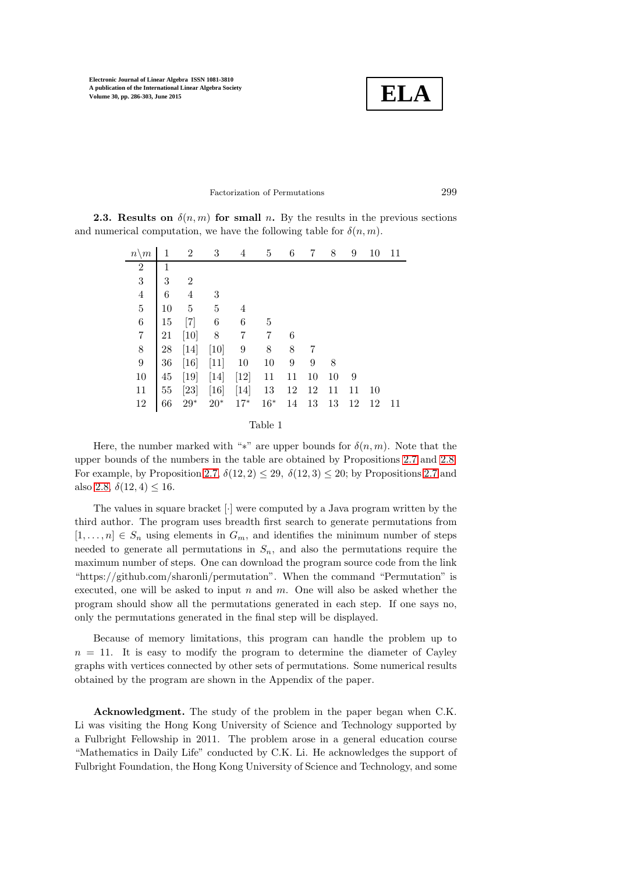

# Factorization of Permutations 299

**2.3. Results on**  $\delta(n,m)$  for small n. By the results in the previous sections and numerical computation, we have the following table for  $\delta(n, m)$ .

| $n \backslash m$ |        | $\overline{2}$ | 3         | 4                | 5         | 6  | 7  | 8  | 9  | 10 | 11 |
|------------------|--------|----------------|-----------|------------------|-----------|----|----|----|----|----|----|
| $\overline{2}$   | 1      |                |           |                  |           |    |    |    |    |    |    |
| 3                | 3      | $\overline{2}$ |           |                  |           |    |    |    |    |    |    |
| $\overline{4}$   | 6      | 4              | 3         |                  |           |    |    |    |    |    |    |
| $\bf 5$          | 10     | 5              | $\bf 5$   | 4                |           |    |    |    |    |    |    |
| $\,6$            | 15     | $[7]$          | 6         | 6                | 5         |    |    |    |    |    |    |
| $\!\!7$          | 21     | [10]           | 8         | 7                | 7         | 6  |    |    |    |    |    |
| 8                | 28     | $[14]$         | [10]      | $\boldsymbol{9}$ | 8         | 8  | 7  |    |    |    |    |
| $\boldsymbol{9}$ | 36     | [16]           | [11]      | 10               | 10        | 9  | 9  | 8  |    |    |    |
| 10               | 45     | $[19]$         | [14]      | $[12]$           | 11        | 11 | 10 | 10 | 9  |    |    |
| 11               | $55\,$ | [23]           | [16]      | [14]             | 13        | 12 | 12 | 11 | 11 | 10 |    |
| 12               | 66     | $29^{\ast}$    | $20^\ast$ | $17*$            | $16^\ast$ | 14 | 13 | 13 | 12 | 12 | 11 |
|                  |        |                |           |                  |           |    |    |    |    |    |    |

| Table |  |
|-------|--|
|       |  |

Here, the number marked with "\*" are upper bounds for  $\delta(n, m)$ . Note that the upper bounds of the numbers in the table are obtained by Propositions [2.7](#page-11-0) and [2.8.](#page-12-0) For example, by Proposition [2.7,](#page-11-0)  $\delta(12,2) \leq 29$ ,  $\delta(12,3) \leq 20$ ; by Propositions [2.7](#page-11-0) and also [2.8,](#page-12-0)  $\delta(12, 4) \leq 16$ .

The values in square bracket [·] were computed by a Java program written by the third author. The program uses breadth first search to generate permutations from  $[1, \ldots, n] \in S_n$  using elements in  $G_m$ , and identifies the minimum number of steps needed to generate all permutations in  $S_n$ , and also the permutations require the maximum number of steps. One can download the program source code from the link "https://github.com/sharonli/permutation". When the command "Permutation" is executed, one will be asked to input  $n$  and  $m$ . One will also be asked whether the program should show all the permutations generated in each step. If one says no, only the permutations generated in the final step will be displayed.

Because of memory limitations, this program can handle the problem up to  $n = 11$ . It is easy to modify the program to determine the diameter of Cayley graphs with vertices connected by other sets of permutations. Some numerical results obtained by the program are shown in the Appendix of the paper.

Acknowledgment. The study of the problem in the paper began when C.K. Li was visiting the Hong Kong University of Science and Technology supported by a Fulbright Fellowship in 2011. The problem arose in a general education course "Mathematics in Daily Life" conducted by C.K. Li. He acknowledges the support of Fulbright Foundation, the Hong Kong University of Science and Technology, and some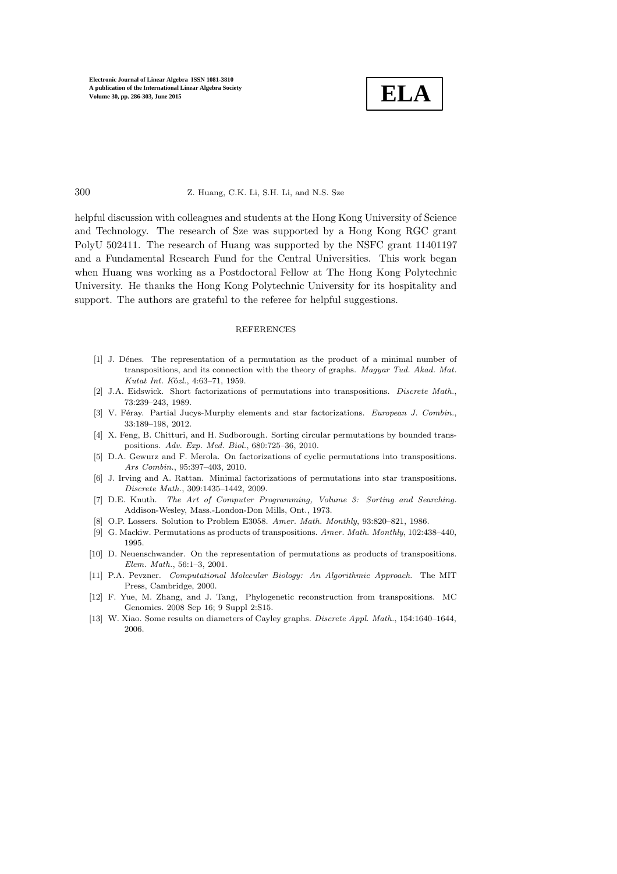

#### 300 Z. Huang, C.K. Li, S.H. Li, and N.S. Sze

helpful discussion with colleagues and students at the Hong Kong University of Science and Technology. The research of Sze was supported by a Hong Kong RGC grant PolyU 502411. The research of Huang was supported by the NSFC grant 11401197 and a Fundamental Research Fund for the Central Universities. This work began when Huang was working as a Postdoctoral Fellow at The Hong Kong Polytechnic University. He thanks the Hong Kong Polytechnic University for its hospitality and support. The authors are grateful to the referee for helpful suggestions.

#### REFERENCES

- <span id="page-14-1"></span>[1] J. D´enes. The representation of a permutation as the product of a minimal number of transpositions, and its connection with the theory of graphs. *Magyar Tud. Akad. Mat. Kutat Int. K*¨o*zl.*, 4:63–71, 1959.
- <span id="page-14-2"></span>[2] J.A. Eidswick. Short factorizations of permutations into transpositions. *Discrete Math.*, 73:239–243, 1989.
- <span id="page-14-10"></span><span id="page-14-3"></span>[3] V. Féray. Partial Jucys-Murphy elements and star factorizations. *European J. Combin.*, 33:189–198, 2012.
- <span id="page-14-4"></span>[4] X. Feng, B. Chitturi, and H. Sudborough. Sorting circular permutations by bounded transpositions. *Adv. Exp. Med. Biol.*, 680:725–36, 2010.
- [5] D.A. Gewurz and F. Merola. On factorizations of cyclic permutations into transpositions. *Ars Combin.*, 95:397–403, 2010.
- <span id="page-14-5"></span>[6] J. Irving and A. Rattan. Minimal factorizations of permutations into star transpositions. *Discrete Math.*, 309:1435–1442, 2009.
- <span id="page-14-0"></span>[7] D.E. Knuth. *The Art of Computer Programming, Volume 3: Sorting and Searching*. Addison-Wesley, Mass.-London-Don Mills, Ont., 1973.
- <span id="page-14-7"></span><span id="page-14-6"></span>[8] O.P. Lossers. Solution to Problem E3058. *Amer. Math. Monthly*, 93:820–821, 1986.
- [9] G. Mackiw. Permutations as products of transpositions. *Amer. Math. Monthly*, 102:438–440, 1995.
- <span id="page-14-8"></span>[10] D. Neuenschwander. On the representation of permutations as products of transpositions. *Elem. Math.*, 56:1–3, 2001.
- <span id="page-14-11"></span>[11] P.A. Pevzner. *Computational Molecular Biology: An Algorithmic Approach*. The MIT Press, Cambridge, 2000.
- <span id="page-14-12"></span>[12] F. Yue, M. Zhang, and J. Tang, Phylogenetic reconstruction from transpositions. MC Genomics. 2008 Sep 16; 9 Suppl 2:S15.
- <span id="page-14-9"></span>[13] W. Xiao. Some results on diameters of Cayley graphs. *Discrete Appl. Math.*, 154:1640–1644, 2006.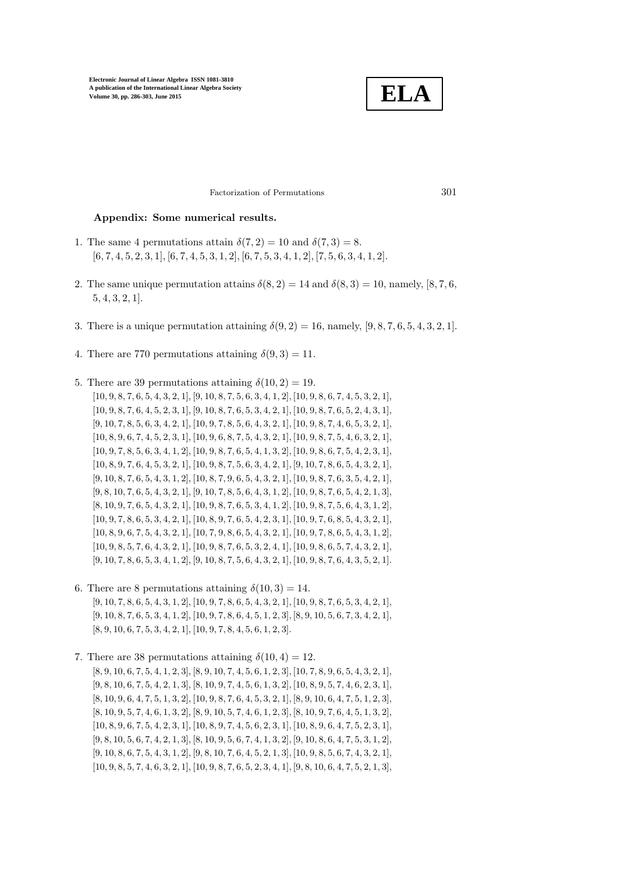

Factorization of Permutations 301

## Appendix: Some numerical results.

- 1. The same 4 permutations attain  $\delta(7,2) = 10$  and  $\delta(7,3) = 8$ .  $[6, 7, 4, 5, 2, 3, 1], [6, 7, 4, 5, 3, 1, 2], [6, 7, 5, 3, 4, 1, 2], [7, 5, 6, 3, 4, 1, 2].$
- 2. The same unique permutation attains  $\delta(8, 2) = 14$  and  $\delta(8, 3) = 10$ , namely, [8, 7, 6,] 5, 4, 3, 2, 1].
- 3. There is a unique permutation attaining  $\delta(9, 2) = 16$ , namely, [9, 8, 7, 6, 5, 4, 3, 2, 1].
- 4. There are 770 permutations attaining  $\delta(9,3) = 11$ .
- 5. There are 39 permutations attaining  $\delta(10, 2) = 19$ .

 $[10, 9, 8, 7, 6, 5, 4, 3, 2, 1], [9, 10, 8, 7, 5, 6, 3, 4, 1, 2], [10, 9, 8, 6, 7, 4, 5, 3, 2, 1],$  $[10, 9, 8, 7, 6, 4, 5, 2, 3, 1], [9, 10, 8, 7, 6, 5, 3, 4, 2, 1], [10, 9, 8, 7, 6, 5, 2, 4, 3, 1],$  $[9, 10, 7, 8, 5, 6, 3, 4, 2, 1], [10, 9, 7, 8, 5, 6, 4, 3, 2, 1], [10, 9, 8, 7, 4, 6, 5, 3, 2, 1],$  $[10, 8, 9, 6, 7, 4, 5, 2, 3, 1], [10, 9, 6, 8, 7, 5, 4, 3, 2, 1], [10, 9, 8, 7, 5, 4, 6, 3, 2, 1],$  $[10, 9, 7, 8, 5, 6, 3, 4, 1, 2]$ ,  $[10, 9, 8, 7, 6, 5, 4, 1, 3, 2]$ ,  $[10, 9, 8, 6, 7, 5, 4, 2, 3, 1]$ ,  $[10, 8, 9, 7, 6, 4, 5, 3, 2, 1], [10, 9, 8, 7, 5, 6, 3, 4, 2, 1], [9, 10, 7, 8, 6, 5, 4, 3, 2, 1],$  $[9, 10, 8, 7, 6, 5, 4, 3, 1, 2]$ ,  $[10, 8, 7, 9, 6, 5, 4, 3, 2, 1]$ ,  $[10, 9, 8, 7, 6, 3, 5, 4, 2, 1]$ ,  $[9, 8, 10, 7, 6, 5, 4, 3, 2, 1], [9, 10, 7, 8, 5, 6, 4, 3, 1, 2], [10, 9, 8, 7, 6, 5, 4, 2, 1, 3],$  $[8, 10, 9, 7, 6, 5, 4, 3, 2, 1], [10, 9, 8, 7, 6, 5, 3, 4, 1, 2], [10, 9, 8, 7, 5, 6, 4, 3, 1, 2],$  $[10, 9, 7, 8, 6, 5, 3, 4, 2, 1], [10, 8, 9, 7, 6, 5, 4, 2, 3, 1], [10, 9, 7, 6, 8, 5, 4, 3, 2, 1],$  $[10, 8, 9, 6, 7, 5, 4, 3, 2, 1], [10, 7, 9, 8, 6, 5, 4, 3, 2, 1], [10, 9, 7, 8, 6, 5, 4, 3, 1, 2],$  $[10, 9, 8, 5, 7, 6, 4, 3, 2, 1], [10, 9, 8, 7, 6, 5, 3, 2, 4, 1], [10, 9, 8, 6, 5, 7, 4, 3, 2, 1],$  $[9, 10, 7, 8, 6, 5, 3, 4, 1, 2], [9, 10, 8, 7, 5, 6, 4, 3, 2, 1], [10, 9, 8, 7, 6, 4, 3, 5, 2, 1].$ 

- 6. There are 8 permutations attaining  $\delta(10,3) = 14$ .  $[9, 10, 7, 8, 6, 5, 4, 3, 1, 2]$ ,  $[10, 9, 7, 8, 6, 5, 4, 3, 2, 1]$ ,  $[10, 9, 8, 7, 6, 5, 3, 4, 2, 1]$ ,  $[9, 10, 8, 7, 6, 5, 3, 4, 1, 2], [10, 9, 7, 8, 6, 4, 5, 1, 2, 3], [8, 9, 10, 5, 6, 7, 3, 4, 2, 1],$  $[8, 9, 10, 6, 7, 5, 3, 4, 2, 1], [10, 9, 7, 8, 4, 5, 6, 1, 2, 3].$
- 7. There are 38 permutations attaining  $\delta(10, 4) = 12$ .

 $[8, 9, 10, 6, 7, 5, 4, 1, 2, 3], [8, 9, 10, 7, 4, 5, 6, 1, 2, 3], [10, 7, 8, 9, 6, 5, 4, 3, 2, 1],$  $[9, 8, 10, 6, 7, 5, 4, 2, 1, 3], [8, 10, 9, 7, 4, 5, 6, 1, 3, 2], [10, 8, 9, 5, 7, 4, 6, 2, 3, 1],$  $[8, 10, 9, 6, 4, 7, 5, 1, 3, 2], [10, 9, 8, 7, 6, 4, 5, 3, 2, 1], [8, 9, 10, 6, 4, 7, 5, 1, 2, 3],$  $[8, 10, 9, 5, 7, 4, 6, 1, 3, 2], [8, 9, 10, 5, 7, 4, 6, 1, 2, 3], [8, 10, 9, 7, 6, 4, 5, 1, 3, 2],$  $[10, 8, 9, 6, 7, 5, 4, 2, 3, 1], [10, 8, 9, 7, 4, 5, 6, 2, 3, 1], [10, 8, 9, 6, 4, 7, 5, 2, 3, 1],$  $[9, 8, 10, 5, 6, 7, 4, 2, 1, 3]$ ,  $[8, 10, 9, 5, 6, 7, 4, 1, 3, 2]$ ,  $[9, 10, 8, 6, 4, 7, 5, 3, 1, 2]$ ,  $[9, 10, 8, 6, 7, 5, 4, 3, 1, 2], [9, 8, 10, 7, 6, 4, 5, 2, 1, 3], [10, 9, 8, 5, 6, 7, 4, 3, 2, 1],$  $[10, 9, 8, 5, 7, 4, 6, 3, 2, 1], [10, 9, 8, 7, 6, 5, 2, 3, 4, 1], [9, 8, 10, 6, 4, 7, 5, 2, 1, 3],$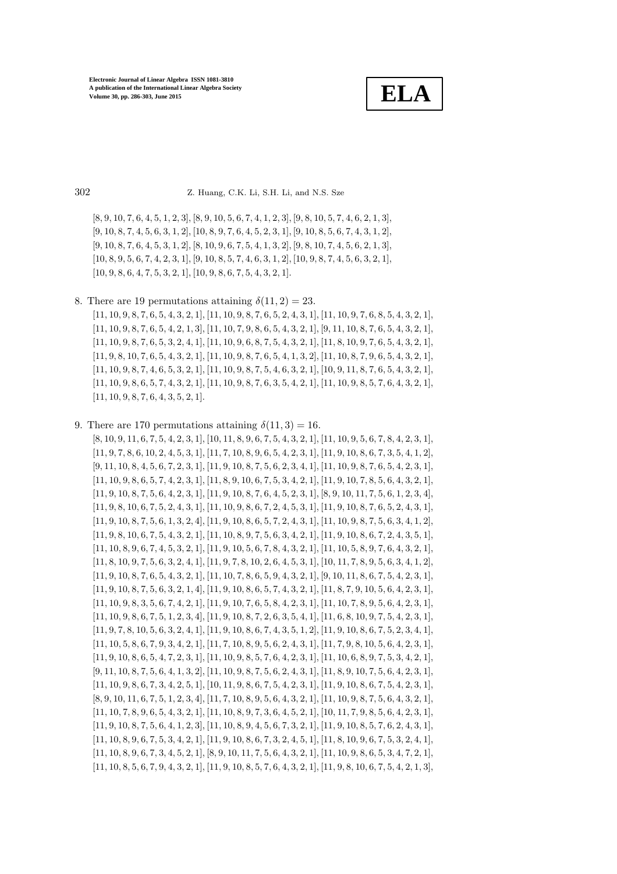**ELA**

302 Z. Huang, C.K. Li, S.H. Li, and N.S. Sze

 $[8, 9, 10, 7, 6, 4, 5, 1, 2, 3], [8, 9, 10, 5, 6, 7, 4, 1, 2, 3], [9, 8, 10, 5, 7, 4, 6, 2, 1, 3],$  $[9, 10, 8, 7, 4, 5, 6, 3, 1, 2], [10, 8, 9, 7, 6, 4, 5, 2, 3, 1], [9, 10, 8, 5, 6, 7, 4, 3, 1, 2],$  $[9, 10, 8, 7, 6, 4, 5, 3, 1, 2], [8, 10, 9, 6, 7, 5, 4, 1, 3, 2], [9, 8, 10, 7, 4, 5, 6, 2, 1, 3],$  $[10, 8, 9, 5, 6, 7, 4, 2, 3, 1], [9, 10, 8, 5, 7, 4, 6, 3, 1, 2], [10, 9, 8, 7, 4, 5, 6, 3, 2, 1],$ [10, 9, 8, 6, 4, 7, 5, 3, 2, 1], [10, 9, 8, 6, 7, 5, 4, 3, 2, 1].

8. There are 19 permutations attaining  $\delta(11, 2) = 23$ .

[11, 10, 9, 8, 7, 6, 5, 4, 3, 2, 1], [11, 10, 9, 8, 7, 6, 5, 2, 4, 3, 1], [11, 10, 9, 7, 6, 8, 5, 4, 3, 2, 1],  $[11, 10, 9, 8, 7, 6, 5, 4, 2, 1, 3]$ ,  $[11, 10, 7, 9, 8, 6, 5, 4, 3, 2, 1]$ ,  $[9, 11, 10, 8, 7, 6, 5, 4, 3, 2, 1]$ ,  $[11, 10, 9, 8, 7, 6, 5, 3, 2, 4, 1], [11, 10, 9, 6, 8, 7, 5, 4, 3, 2, 1], [11, 8, 10, 9, 7, 6, 5, 4, 3, 2, 1],$ [11, 9, 8, 10, 7, 6, 5, 4, 3, 2, 1], [11, 10, 9, 8, 7, 6, 5, 4, 1, 3, 2], [11, 10, 8, 7, 9, 6, 5, 4, 3, 2, 1], [11, 10, 9, 8, 7, 4, 6, 5, 3, 2, 1], [11, 10, 9, 8, 7, 5, 4, 6, 3, 2, 1], [10, 9, 11, 8, 7, 6, 5, 4, 3, 2, 1], [11, 10, 9, 8, 6, 5, 7, 4, 3, 2, 1], [11, 10, 9, 8, 7, 6, 3, 5, 4, 2, 1], [11, 10, 9, 8, 5, 7, 6, 4, 3, 2, 1], [11, 10, 9, 8, 7, 6, 4, 3, 5, 2, 1].

9. There are 170 permutations attaining  $\delta(11,3) = 16$ . [8, 10, 9, 11, 6, 7, 5, 4, 2, 3, 1], [10, 11, 8, 9, 6, 7, 5, 4, 3, 2, 1], [11, 10, 9, 5, 6, 7, 8, 4, 2, 3, 1], [11, 9, 7, 8, 6, 10, 2, 4, 5, 3, 1], [11, 7, 10, 8, 9, 6, 5, 4, 2, 3, 1], [11, 9, 10, 8, 6, 7, 3, 5, 4, 1, 2], [9, 11, 10, 8, 4, 5, 6, 7, 2, 3, 1], [11, 9, 10, 8, 7, 5, 6, 2, 3, 4, 1], [11, 10, 9, 8, 7, 6, 5, 4, 2, 3, 1], [11, 10, 9, 8, 6, 5, 7, 4, 2, 3, 1], [11, 8, 9, 10, 6, 7, 5, 3, 4, 2, 1], [11, 9, 10, 7, 8, 5, 6, 4, 3, 2, 1], [11, 9, 10, 8, 7, 5, 6, 4, 2, 3, 1], [11, 9, 10, 8, 7, 6, 4, 5, 2, 3, 1], [8, 9, 10, 11, 7, 5, 6, 1, 2, 3, 4], [11, 9, 8, 10, 6, 7, 5, 2, 4, 3, 1], [11, 10, 9, 8, 6, 7, 2, 4, 5, 3, 1], [11, 9, 10, 8, 7, 6, 5, 2, 4, 3, 1], [11, 9, 10, 8, 7, 5, 6, 1, 3, 2, 4], [11, 9, 10, 8, 6, 5, 7, 2, 4, 3, 1], [11, 10, 9, 8, 7, 5, 6, 3, 4, 1, 2], [11, 9, 8, 10, 6, 7, 5, 4, 3, 2, 1], [11, 10, 8, 9, 7, 5, 6, 3, 4, 2, 1], [11, 9, 10, 8, 6, 7, 2, 4, 3, 5, 1], [11, 10, 8, 9, 6, 7, 4, 5, 3, 2, 1], [11, 9, 10, 5, 6, 7, 8, 4, 3, 2, 1], [11, 10, 5, 8, 9, 7, 6, 4, 3, 2, 1], [11, 8, 10, 9, 7, 5, 6, 3, 2, 4, 1], [11, 9, 7, 8, 10, 2, 6, 4, 5, 3, 1], [10, 11, 7, 8, 9, 5, 6, 3, 4, 1, 2], [11, 9, 10, 8, 7, 6, 5, 4, 3, 2, 1], [11, 10, 7, 8, 6, 5, 9, 4, 3, 2, 1], [9, 10, 11, 8, 6, 7, 5, 4, 2, 3, 1], [11, 9, 10, 8, 7, 5, 6, 3, 2, 1, 4], [11, 9, 10, 8, 6, 5, 7, 4, 3, 2, 1], [11, 8, 7, 9, 10, 5, 6, 4, 2, 3, 1], [11, 10, 9, 8, 3, 5, 6, 7, 4, 2, 1], [11, 9, 10, 7, 6, 5, 8, 4, 2, 3, 1], [11, 10, 7, 8, 9, 5, 6, 4, 2, 3, 1], [11, 10, 9, 8, 6, 7, 5, 1, 2, 3, 4], [11, 9, 10, 8, 7, 2, 6, 3, 5, 4, 1], [11, 6, 8, 10, 9, 7, 5, 4, 2, 3, 1], [11, 9, 7, 8, 10, 5, 6, 3, 2, 4, 1], [11, 9, 10, 8, 6, 7, 4, 3, 5, 1, 2], [11, 9, 10, 8, 6, 7, 5, 2, 3, 4, 1], [11, 10, 5, 8, 6, 7, 9, 3, 4, 2, 1], [11, 7, 10, 8, 9, 5, 6, 2, 4, 3, 1], [11, 7, 9, 8, 10, 5, 6, 4, 2, 3, 1], [11, 9, 10, 8, 6, 5, 4, 7, 2, 3, 1], [11, 10, 9, 8, 5, 7, 6, 4, 2, 3, 1], [11, 10, 6, 8, 9, 7, 5, 3, 4, 2, 1], [9, 11, 10, 8, 7, 5, 6, 4, 1, 3, 2], [11, 10, 9, 8, 7, 5, 6, 2, 4, 3, 1], [11, 8, 9, 10, 7, 5, 6, 4, 2, 3, 1], [11, 10, 9, 8, 6, 7, 3, 4, 2, 5, 1], [10, 11, 9, 8, 6, 7, 5, 4, 2, 3, 1], [11, 9, 10, 8, 6, 7, 5, 4, 2, 3, 1],  $[8, 9, 10, 11, 6, 7, 5, 1, 2, 3, 4], [11, 7, 10, 8, 9, 5, 6, 4, 3, 2, 1], [11, 10, 9, 8, 7, 5, 6, 4, 3, 2, 1],$ [11, 10, 7, 8, 9, 6, 5, 4, 3, 2, 1], [11, 10, 8, 9, 7, 3, 6, 4, 5, 2, 1], [10, 11, 7, 9, 8, 5, 6, 4, 2, 3, 1], [11, 9, 10, 8, 7, 5, 6, 4, 1, 2, 3], [11, 10, 8, 9, 4, 5, 6, 7, 3, 2, 1], [11, 9, 10, 8, 5, 7, 6, 2, 4, 3, 1], [11, 10, 8, 9, 6, 7, 5, 3, 4, 2, 1], [11, 9, 10, 8, 6, 7, 3, 2, 4, 5, 1], [11, 8, 10, 9, 6, 7, 5, 3, 2, 4, 1], [11, 10, 8, 9, 6, 7, 3, 4, 5, 2, 1], [8, 9, 10, 11, 7, 5, 6, 4, 3, 2, 1], [11, 10, 9, 8, 6, 5, 3, 4, 7, 2, 1], [11, 10, 8, 5, 6, 7, 9, 4, 3, 2, 1], [11, 9, 10, 8, 5, 7, 6, 4, 3, 2, 1], [11, 9, 8, 10, 6, 7, 5, 4, 2, 1, 3],